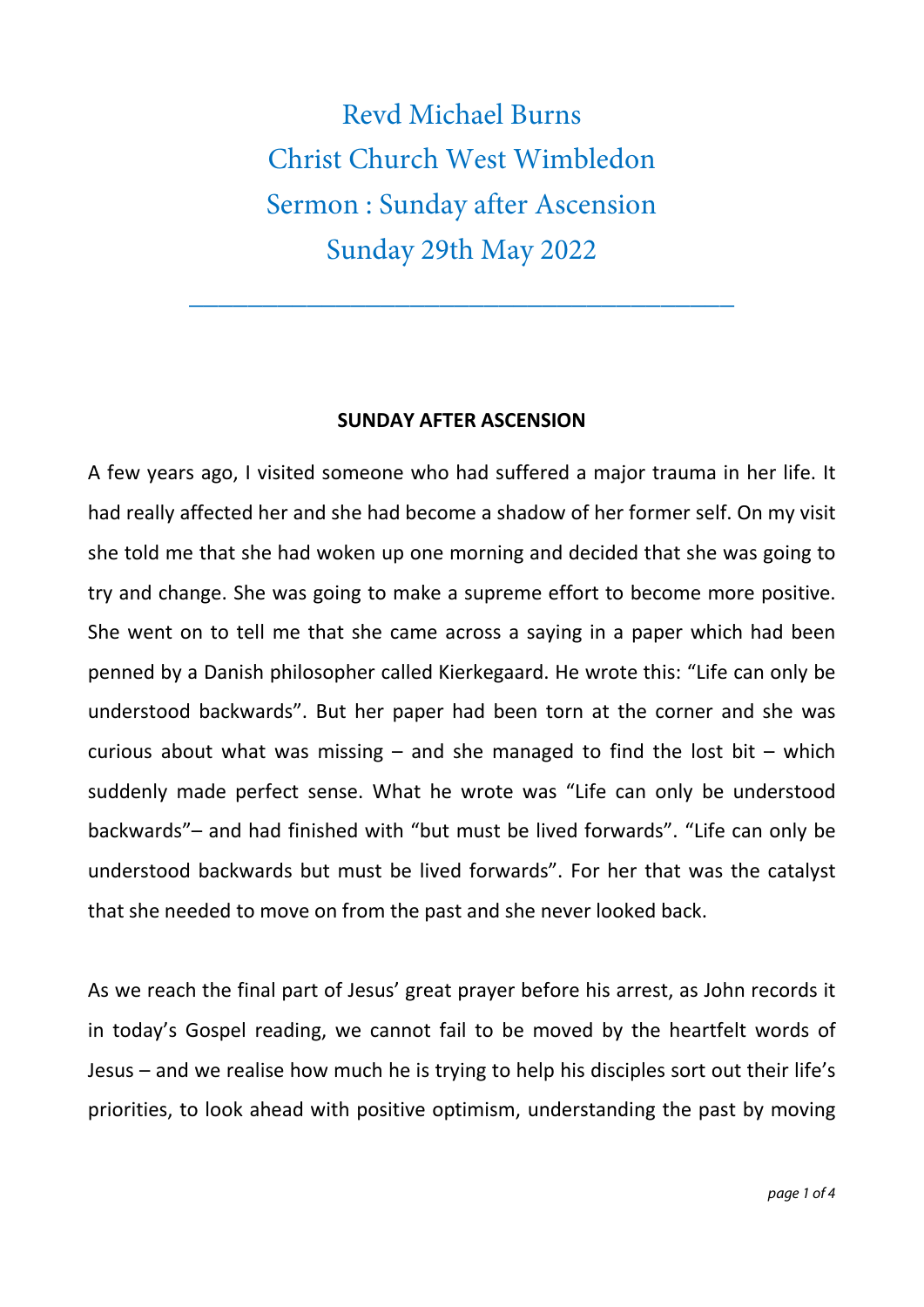Revd Michael Burns Christ Church West Wimbledon Sermon : Sunday after Ascension Sunday 29th May 2022

\_\_\_\_\_\_\_\_\_\_\_\_\_\_\_\_\_\_\_\_\_\_\_\_\_\_\_\_\_\_\_\_\_\_\_\_\_

## **SUNDAY AFTER ASCENSION**

A few years ago, I visited someone who had suffered a major trauma in her life. It had really affected her and she had become a shadow of her former self. On my visit she told me that she had woken up one morning and decided that she was going to try and change. She was going to make a supreme effort to become more positive. She went on to tell me that she came across a saying in a paper which had been penned by a Danish philosopher called Kierkegaard. He wrote this: "Life can only be understood backwards". But her paper had been torn at the corner and she was curious about what was missing  $-$  and she managed to find the lost bit  $-$  which suddenly made perfect sense. What he wrote was "Life can only be understood backwards"– and had finished with "but must be lived forwards". "Life can only be understood backwards but must be lived forwards". For her that was the catalyst that she needed to move on from the past and she never looked back.

As we reach the final part of Jesus' great prayer before his arrest, as John records it in today's Gospel reading, we cannot fail to be moved by the heartfelt words of Jesus – and we realise how much he is trying to help his disciples sort out their life's priorities, to look ahead with positive optimism, understanding the past by moving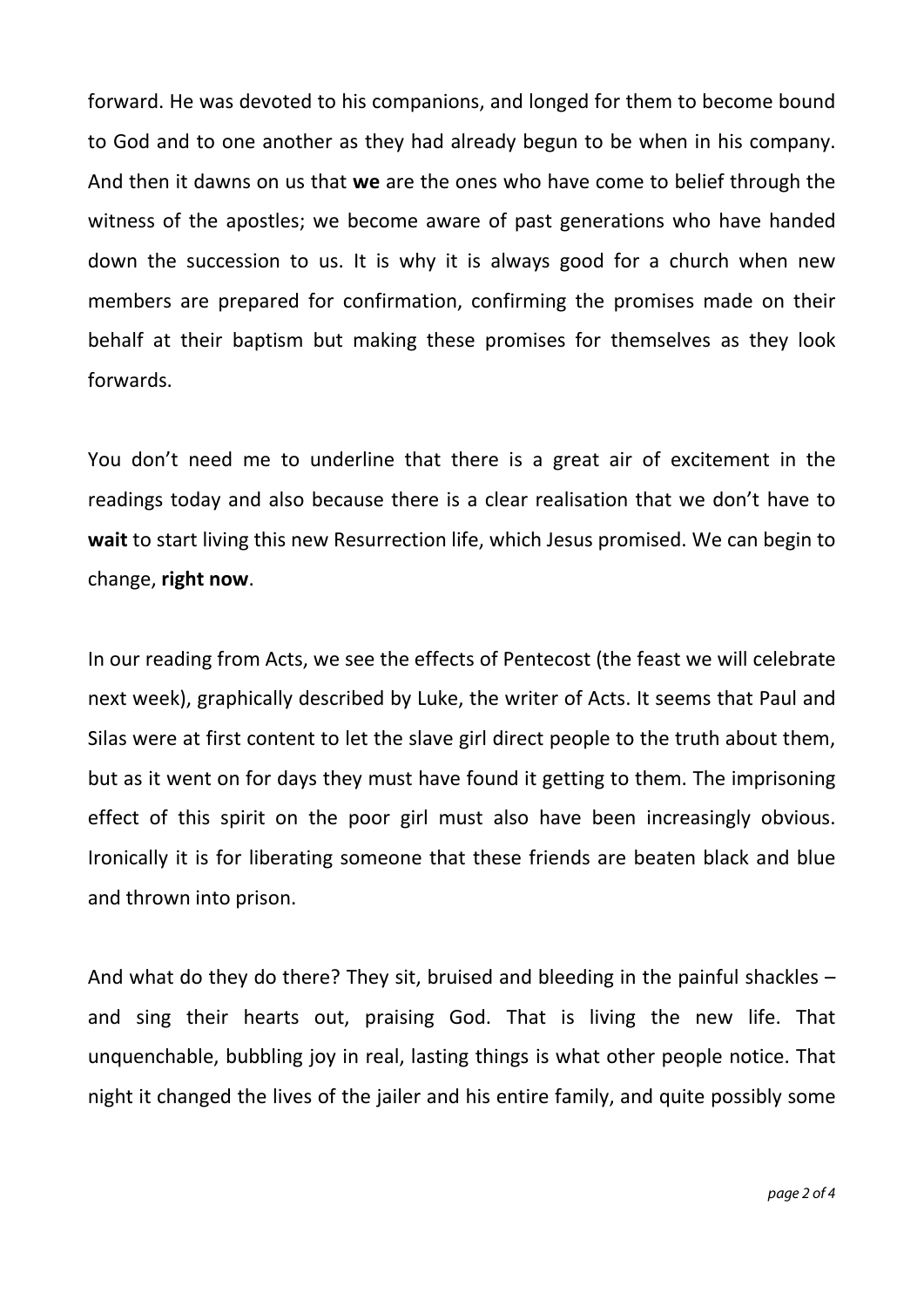forward. He was devoted to his companions, and longed for them to become bound to God and to one another as they had already begun to be when in his company. And then it dawns on us that **we** are the ones who have come to belief through the witness of the apostles; we become aware of past generations who have handed down the succession to us. It is why it is always good for a church when new members are prepared for confirmation, confirming the promises made on their behalf at their baptism but making these promises for themselves as they look forwards.

You don't need me to underline that there is a great air of excitement in the readings today and also because there is a clear realisation that we don't have to **wait** to start living this new Resurrection life, which Jesus promised. We can begin to change, **right now**.

In our reading from Acts, we see the effects of Pentecost (the feast we will celebrate next week), graphically described by Luke, the writer of Acts. It seems that Paul and Silas were at first content to let the slave girl direct people to the truth about them, but as it went on for days they must have found it getting to them. The imprisoning effect of this spirit on the poor girl must also have been increasingly obvious. Ironically it is for liberating someone that these friends are beaten black and blue and thrown into prison.

And what do they do there? They sit, bruised and bleeding in the painful shackles – and sing their hearts out, praising God. That is living the new life. That unquenchable, bubbling joy in real, lasting things is what other people notice. That night it changed the lives of the jailer and his entire family, and quite possibly some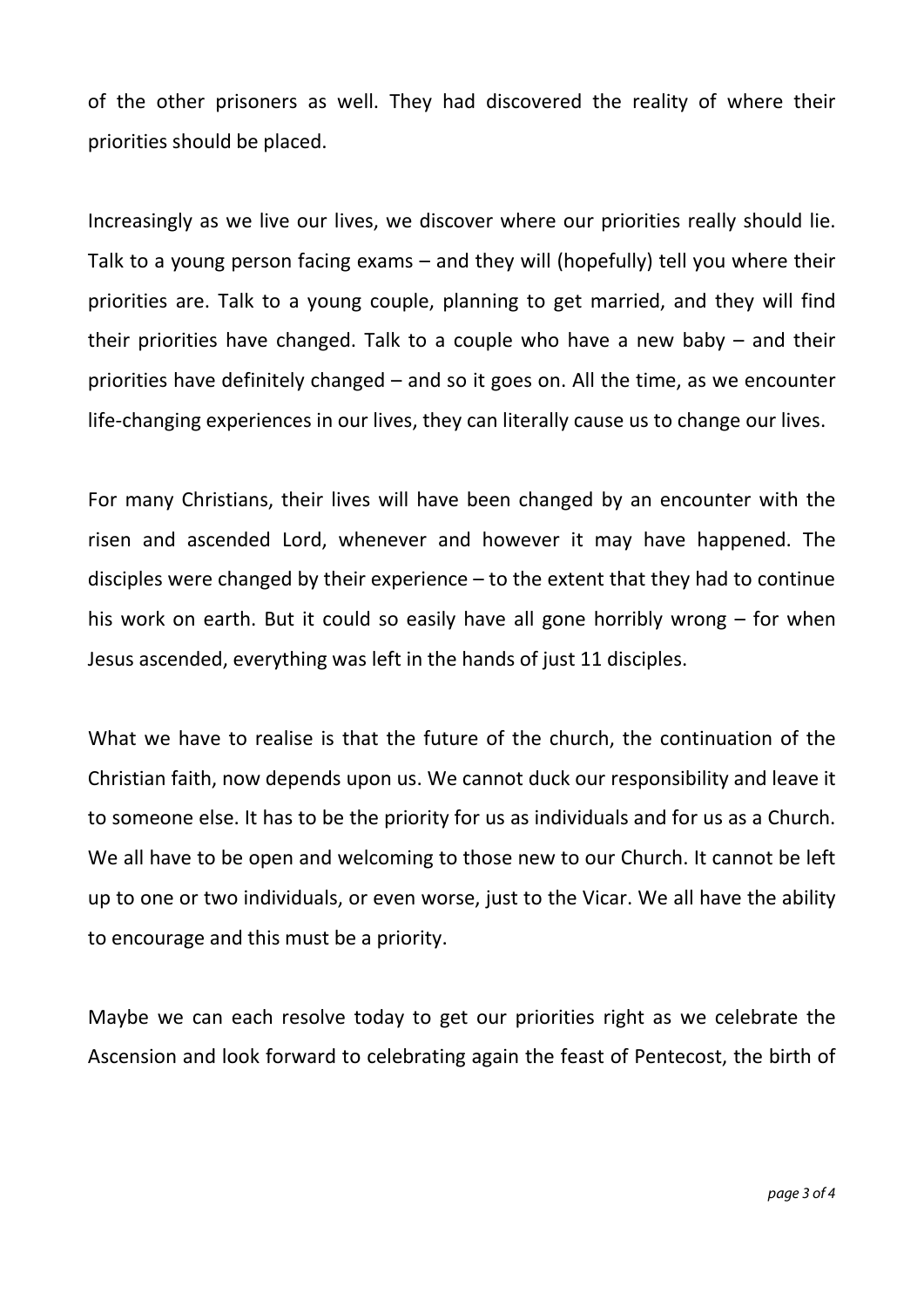of the other prisoners as well. They had discovered the reality of where their priorities should be placed.

Increasingly as we live our lives, we discover where our priorities really should lie. Talk to a young person facing exams – and they will (hopefully) tell you where their priorities are. Talk to a young couple, planning to get married, and they will find their priorities have changed. Talk to a couple who have a new baby – and their priorities have definitely changed – and so it goes on. All the time, as we encounter life-changing experiences in our lives, they can literally cause us to change our lives.

For many Christians, their lives will have been changed by an encounter with the risen and ascended Lord, whenever and however it may have happened. The disciples were changed by their experience – to the extent that they had to continue his work on earth. But it could so easily have all gone horribly wrong – for when Jesus ascended, everything was left in the hands of just 11 disciples.

What we have to realise is that the future of the church, the continuation of the Christian faith, now depends upon us. We cannot duck our responsibility and leave it to someone else. It has to be the priority for us as individuals and for us as a Church. We all have to be open and welcoming to those new to our Church. It cannot be left up to one or two individuals, or even worse, just to the Vicar. We all have the ability to encourage and this must be a priority.

Maybe we can each resolve today to get our priorities right as we celebrate the Ascension and look forward to celebrating again the feast of Pentecost, the birth of